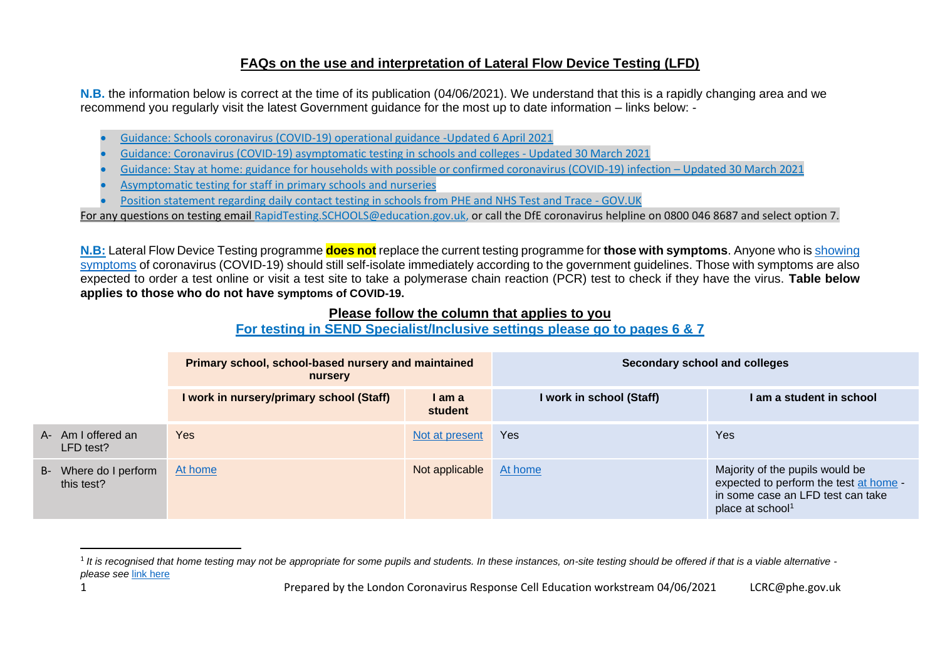## **FAQs on the use and interpretation of Lateral Flow Device Testing (LFD)**

**N.B.** the information below is correct at the time of its publication (04/06/2021). We understand that this is a rapidly changing area and we recommend you regularly visit the latest Government guidance for the most up to date information – links below:

- [Guidance: Schools coronavirus \(COVID-19\) operational guidance -Updated 6 April 2021](https://www.gov.uk/government/publications/actions-for-schools-during-the-coronavirus-outbreak/schools-coronavirus-covid-19-operational-guidance)
- [Guidance: Coronavirus \(COVID-19\) asymptomatic testing in schools and colleges -](https://www.gov.uk/government/publications/coronavirus-covid-19-asymptomatic-testing-in-schools-and-colleges/coronavirus-covid-19-asymptomatic-testing-in-schools-and-colleges) Updated 30 March 2021
- [Guidance: Stay at home: guidance for households with possible or confirmed coronavirus \(COVID-19\) infection](https://www.gov.uk/government/publications/covid-19-stay-at-home-guidance/stay-at-home-guidance-for-households-with-possible-coronavirus-covid-19-infection)  Updated 30 March 2021
- [Asymptomatic testing for staff in primary schools and nurseries](https://www.gov.uk/government/publications/coronavirus-covid-19-asymptomatic-testing-for-staff-in-primary-schools-and-nurseries/rapid-asymptomatic-coronavirus-covid-19-testing-for-staff-in-primary-schools-school-based-nurseries-and-maintained-nursery-schools)
- [Position statement regarding daily contact testing in schools from PHE and NHS Test and Trace -](https://www.gov.uk/government/publications/daily-contact-testing-in-schools-statement-from-phe-and-nhs-tt-about-next-steps/position-statement-regarding-daily-contact-testing-in-schools-from-phe-and-nhs-test-and-trace) GOV.UK

For any questions on testing email [RapidTesting.SCHOOLS@education.gov.uk,](mailto:RapidTesting.SCHOOLS@education.gov.uk) or call the DfE coronavirus helpline on 0800 046 8687 and select option 7.

**[N.B:](https://www.gov.uk/government/publications/coronavirus-covid-19-asymptomatic-testing-in-schools-and-colleges/coronavirus-covid-19-asymptomatic-testing-in-schools-and-colleges)** Lateral Flow Device Testing programme **does not** replace the current testing programme for **those with symptoms**. Anyone who i[s showing](https://www.gov.uk/government/publications/coronavirus-covid-19-asymptomatic-testing-for-staff-in-primary-schools-and-nurseries/rapid-asymptomatic-coronavirus-covid-19-testing-for-staff-in-primary-schools-school-based-nurseries-and-maintained-nursery-schools)  [symptoms](https://www.gov.uk/government/publications/coronavirus-covid-19-asymptomatic-testing-for-staff-in-primary-schools-and-nurseries/rapid-asymptomatic-coronavirus-covid-19-testing-for-staff-in-primary-schools-school-based-nurseries-and-maintained-nursery-schools) of coronavirus (COVID-19) should still self-isolate immediately according to the government quidelines. Those with symptoms are also expected to order a test online or visit a test site to take a polymerase chain reaction (PCR) test to check if they have the virus. **Table below applies to those who do not have symptoms of COVID-19.**

#### **Please follow the column that applies to you**

### **For testing in SEND Specialist/Inclusive settings please go to pages 6 & 7**

|                                     | Primary school, school-based nursery and maintained<br>nursery |                   | Secondary school and colleges |                                                                                                                                                |
|-------------------------------------|----------------------------------------------------------------|-------------------|-------------------------------|------------------------------------------------------------------------------------------------------------------------------------------------|
|                                     | I work in nursery/primary school (Staff)                       | I am a<br>student | I work in school (Staff)      | I am a student in school                                                                                                                       |
| A- Am I offered an<br>LFD test?     | Yes                                                            | Not at present    | <b>Yes</b>                    | <b>Yes</b>                                                                                                                                     |
| B- Where do I perform<br>this test? | At home                                                        | Not applicable    | At home                       | Majority of the pupils would be<br>expected to perform the test at home -<br>in some case an LFD test can take<br>place at school <sup>1</sup> |

<sup>&</sup>lt;sup>1</sup> It is recognised that home testing may not be appropriate for some pupils and students. In these instances, on-site testing should be offered if that is a viable alternative *please see* [link here](https://www.gov.uk/government/publications/guidance-for-full-opening-special-schools-and-other-specialist-settings/rapid-asymptomatic-testing-in-specialist-settings#ongoing-twice-weekly-testing-home-testing-of-pupils-and-students)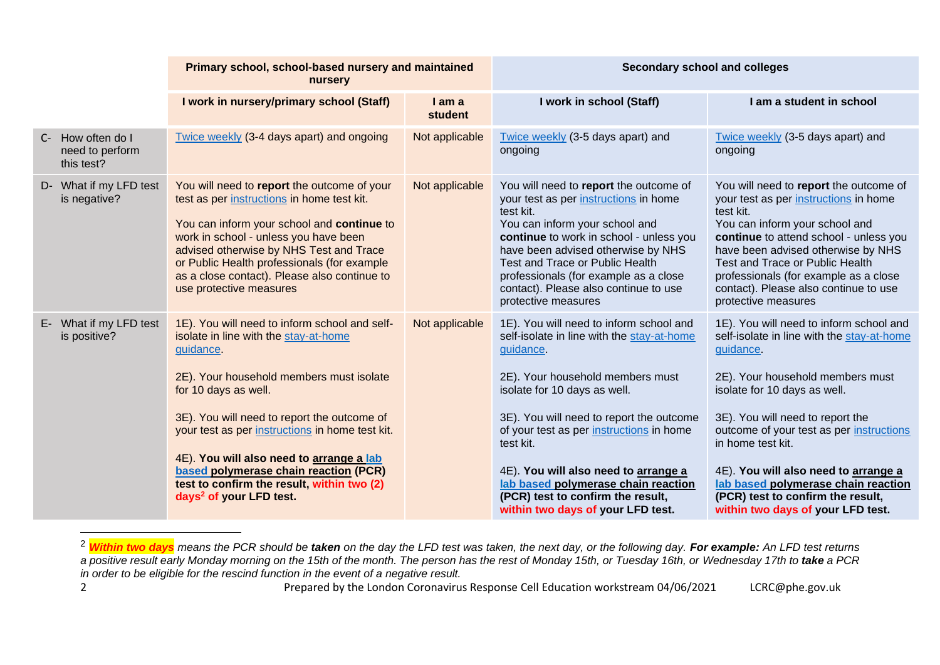|                                                    | Primary school, school-based nursery and maintained<br>nursery                                                                                                                                                                                                                                                                                                                                                                                      |                          | Secondary school and colleges                                                                                                                                                                                                                                                                                                                                                                                                        |                                                                                                                                                                                                                                                                                                                                                                                                                                      |
|----------------------------------------------------|-----------------------------------------------------------------------------------------------------------------------------------------------------------------------------------------------------------------------------------------------------------------------------------------------------------------------------------------------------------------------------------------------------------------------------------------------------|--------------------------|--------------------------------------------------------------------------------------------------------------------------------------------------------------------------------------------------------------------------------------------------------------------------------------------------------------------------------------------------------------------------------------------------------------------------------------|--------------------------------------------------------------------------------------------------------------------------------------------------------------------------------------------------------------------------------------------------------------------------------------------------------------------------------------------------------------------------------------------------------------------------------------|
|                                                    | I work in nursery/primary school (Staff)                                                                                                                                                                                                                                                                                                                                                                                                            | I am a<br><b>student</b> | I work in school (Staff)                                                                                                                                                                                                                                                                                                                                                                                                             | I am a student in school                                                                                                                                                                                                                                                                                                                                                                                                             |
| C- How often do I<br>need to perform<br>this test? | Twice weekly (3-4 days apart) and ongoing                                                                                                                                                                                                                                                                                                                                                                                                           | Not applicable           | Twice weekly (3-5 days apart) and<br>ongoing                                                                                                                                                                                                                                                                                                                                                                                         | Twice weekly (3-5 days apart) and<br>ongoing                                                                                                                                                                                                                                                                                                                                                                                         |
| D- What if my LFD test<br>is negative?             | You will need to report the outcome of your<br>test as per instructions in home test kit.<br>You can inform your school and continue to<br>work in school - unless you have been<br>advised otherwise by NHS Test and Trace<br>or Public Health professionals (for example<br>as a close contact). Please also continue to<br>use protective measures                                                                                               | Not applicable           | You will need to report the outcome of<br>your test as per instructions in home<br>test kit.<br>You can inform your school and<br>continue to work in school - unless you<br>have been advised otherwise by NHS<br>Test and Trace or Public Health<br>professionals (for example as a close<br>contact). Please also continue to use<br>protective measures                                                                          | You will need to report the outcome of<br>your test as per instructions in home<br>test kit.<br>You can inform your school and<br>continue to attend school - unless you<br>have been advised otherwise by NHS<br>Test and Trace or Public Health<br>professionals (for example as a close<br>contact). Please also continue to use<br>protective measures                                                                           |
| E- What if my LFD test<br>is positive?             | 1E). You will need to inform school and self-<br>isolate in line with the stay-at-home<br>guidance.<br>2E). Your household members must isolate<br>for 10 days as well.<br>3E). You will need to report the outcome of<br>your test as per instructions in home test kit.<br>4E). You will also need to arrange a lab<br>based polymerase chain reaction (PCR)<br>test to confirm the result, within two (2)<br>days <sup>2</sup> of your LFD test. | Not applicable           | 1E). You will need to inform school and<br>self-isolate in line with the stay-at-home<br>guidance.<br>2E). Your household members must<br>isolate for 10 days as well.<br>3E). You will need to report the outcome<br>of your test as per instructions in home<br>test kit.<br>4E). You will also need to arrange a<br>lab based polymerase chain reaction<br>(PCR) test to confirm the result,<br>within two days of your LFD test. | 1E). You will need to inform school and<br>self-isolate in line with the stay-at-home<br>guidance.<br>2E). Your household members must<br>isolate for 10 days as well.<br>3E). You will need to report the<br>outcome of your test as per instructions<br>in home test kit.<br>4E). You will also need to arrange a<br>lab based polymerase chain reaction<br>(PCR) test to confirm the result,<br>within two days of your LFD test. |

<sup>2</sup> *Within two days means the PCR should be taken on the day the LFD test was taken, the next day, or the following day. For example: An LFD test returns*  a positive result early Monday morning on the 15th of the month. The person has the rest of Monday 15th, or Tuesday 16th, or Wednesday 17th to take a PCR *in order to be eligible for the rescind function in the event of a negative result.*

2 **Prepared by the London Coronavirus Response Cell Education workstream 04/06/2021** LCRC@phe.gov.uk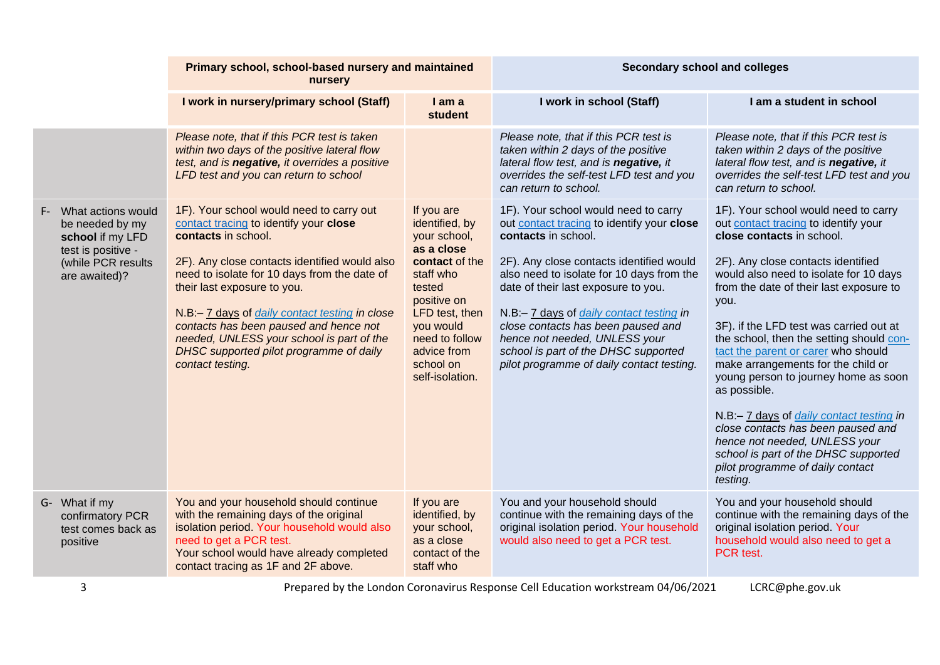|                                                                                                                           | Primary school, school-based nursery and maintained<br>nursery                                                                                                                                                                                                                                                                                                                                                                                    |                                                                                                                                                                                                                    | <b>Secondary school and colleges</b>                                                                                                                                                                                                                                                                                                                                                                                                                     |                                                                                                                                                                                                                                                                                                                                                                                                                                                                                                                                                                                                                                                                                            |
|---------------------------------------------------------------------------------------------------------------------------|---------------------------------------------------------------------------------------------------------------------------------------------------------------------------------------------------------------------------------------------------------------------------------------------------------------------------------------------------------------------------------------------------------------------------------------------------|--------------------------------------------------------------------------------------------------------------------------------------------------------------------------------------------------------------------|----------------------------------------------------------------------------------------------------------------------------------------------------------------------------------------------------------------------------------------------------------------------------------------------------------------------------------------------------------------------------------------------------------------------------------------------------------|--------------------------------------------------------------------------------------------------------------------------------------------------------------------------------------------------------------------------------------------------------------------------------------------------------------------------------------------------------------------------------------------------------------------------------------------------------------------------------------------------------------------------------------------------------------------------------------------------------------------------------------------------------------------------------------------|
|                                                                                                                           | I work in nursery/primary school (Staff)                                                                                                                                                                                                                                                                                                                                                                                                          | I am a<br>student                                                                                                                                                                                                  | I work in school (Staff)                                                                                                                                                                                                                                                                                                                                                                                                                                 | I am a student in school                                                                                                                                                                                                                                                                                                                                                                                                                                                                                                                                                                                                                                                                   |
|                                                                                                                           | Please note, that if this PCR test is taken<br>within two days of the positive lateral flow<br>test, and is negative, it overrides a positive<br>LFD test and you can return to school                                                                                                                                                                                                                                                            |                                                                                                                                                                                                                    | Please note, that if this PCR test is<br>taken within 2 days of the positive<br>lateral flow test, and is negative, it<br>overrides the self-test LFD test and you<br>can return to school.                                                                                                                                                                                                                                                              | Please note, that if this PCR test is<br>taken within 2 days of the positive<br>lateral flow test, and is negative, it<br>overrides the self-test LFD test and you<br>can return to school.                                                                                                                                                                                                                                                                                                                                                                                                                                                                                                |
| F- What actions would<br>be needed by my<br>school if my LFD<br>test is positive -<br>(while PCR results<br>are awaited)? | 1F). Your school would need to carry out<br>contact tracing to identify your close<br>contacts in school.<br>2F). Any close contacts identified would also<br>need to isolate for 10 days from the date of<br>their last exposure to you.<br>N.B:- 7 days of daily contact testing in close<br>contacts has been paused and hence not<br>needed, UNLESS your school is part of the<br>DHSC supported pilot programme of daily<br>contact testing. | If you are<br>identified, by<br>your school,<br>as a close<br>contact of the<br>staff who<br>tested<br>positive on<br>LFD test, then<br>you would<br>need to follow<br>advice from<br>school on<br>self-isolation. | 1F). Your school would need to carry<br>out contact tracing to identify your close<br>contacts in school.<br>2F). Any close contacts identified would<br>also need to isolate for 10 days from the<br>date of their last exposure to you.<br>N.B:- 7 days of <i>daily contact testing in</i><br>close contacts has been paused and<br>hence not needed, UNLESS your<br>school is part of the DHSC supported<br>pilot programme of daily contact testing. | 1F). Your school would need to carry<br>out contact tracing to identify your<br>close contacts in school.<br>2F). Any close contacts identified<br>would also need to isolate for 10 days<br>from the date of their last exposure to<br>you.<br>3F). if the LFD test was carried out at<br>the school, then the setting should con-<br>tact the parent or carer who should<br>make arrangements for the child or<br>young person to journey home as soon<br>as possible.<br>N.B:- 7 days of <i>daily contact testing in</i><br>close contacts has been paused and<br>hence not needed, UNLESS your<br>school is part of the DHSC supported<br>pilot programme of daily contact<br>testing. |
| G- What if my<br>confirmatory PCR<br>test comes back as<br>positive                                                       | You and your household should continue<br>with the remaining days of the original<br>isolation period. Your household would also<br>need to get a PCR test.<br>Your school would have already completed<br>contact tracing as 1F and 2F above.                                                                                                                                                                                                    | If you are<br>identified, by<br>your school,<br>as a close<br>contact of the<br>staff who                                                                                                                          | You and your household should<br>continue with the remaining days of the<br>original isolation period. Your household<br>would also need to get a PCR test.                                                                                                                                                                                                                                                                                              | You and your household should<br>continue with the remaining days of the<br>original isolation period. Your<br>household would also need to get a<br>PCR test.                                                                                                                                                                                                                                                                                                                                                                                                                                                                                                                             |

3 **Prepared by the London Coronavirus Response Cell Education workstream 04/06/2021** LCRC@phe.gov.uk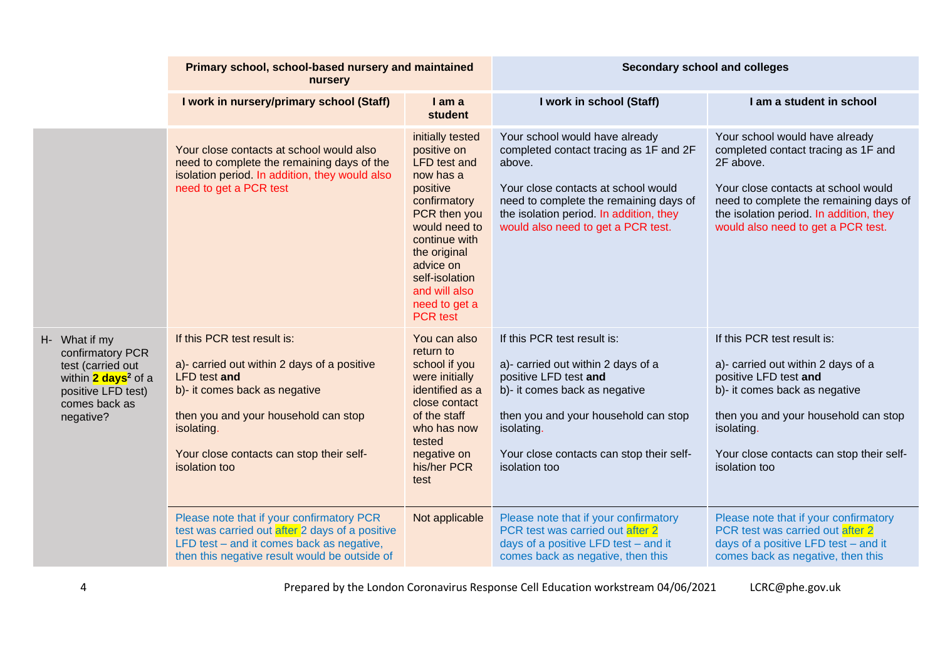|                                                                                                                                               | Primary school, school-based nursery and maintained<br>nursery                                                                                                                                                                                 |                                                                                                                                                                                                                                                       | <b>Secondary school and colleges</b>                                                                                                                                                                                                                 |                                                                                                                                                                                                                                                      |
|-----------------------------------------------------------------------------------------------------------------------------------------------|------------------------------------------------------------------------------------------------------------------------------------------------------------------------------------------------------------------------------------------------|-------------------------------------------------------------------------------------------------------------------------------------------------------------------------------------------------------------------------------------------------------|------------------------------------------------------------------------------------------------------------------------------------------------------------------------------------------------------------------------------------------------------|------------------------------------------------------------------------------------------------------------------------------------------------------------------------------------------------------------------------------------------------------|
|                                                                                                                                               | I work in nursery/primary school (Staff)                                                                                                                                                                                                       | I am a<br>student                                                                                                                                                                                                                                     | I work in school (Staff)                                                                                                                                                                                                                             | I am a student in school                                                                                                                                                                                                                             |
|                                                                                                                                               | Your close contacts at school would also<br>need to complete the remaining days of the<br>isolation period. In addition, they would also<br>need to get a PCR test                                                                             | initially tested<br>positive on<br><b>LFD</b> test and<br>now has a<br>positive<br>confirmatory<br>PCR then you<br>would need to<br>continue with<br>the original<br>advice on<br>self-isolation<br>and will also<br>need to get a<br><b>PCR</b> test | Your school would have already<br>completed contact tracing as 1F and 2F<br>above.<br>Your close contacts at school would<br>need to complete the remaining days of<br>the isolation period. In addition, they<br>would also need to get a PCR test. | Your school would have already<br>completed contact tracing as 1F and<br>2F above.<br>Your close contacts at school would<br>need to complete the remaining days of<br>the isolation period. In addition, they<br>would also need to get a PCR test. |
| H- What if my<br>confirmatory PCR<br>test (carried out<br>within 2 days <sup>2</sup> of a<br>positive LFD test)<br>comes back as<br>negative? | If this PCR test result is:<br>a)- carried out within 2 days of a positive<br>LFD test and<br>b)- it comes back as negative<br>then you and your household can stop<br>isolating.<br>Your close contacts can stop their self-<br>isolation too | You can also<br>return to<br>school if you<br>were initially<br>identified as a<br>close contact<br>of the staff<br>who has now<br>tested<br>negative on<br>his/her PCR<br>test                                                                       | If this PCR test result is:<br>a)- carried out within 2 days of a<br>positive LFD test and<br>b)- it comes back as negative<br>then you and your household can stop<br>isolating.<br>Your close contacts can stop their self-<br>isolation too       | If this PCR test result is:<br>a)- carried out within 2 days of a<br>positive LFD test and<br>b)- it comes back as negative<br>then you and your household can stop<br>isolating.<br>Your close contacts can stop their self-<br>isolation too       |
|                                                                                                                                               | Please note that if your confirmatory PCR<br>test was carried out after 2 days of a positive<br>LFD test - and it comes back as negative,<br>then this negative result would be outside of                                                     | Not applicable                                                                                                                                                                                                                                        | Please note that if your confirmatory<br>PCR test was carried out after 2<br>days of a positive LFD test - and it<br>comes back as negative, then this                                                                                               | Please note that if your confirmatory<br>PCR test was carried out after 2<br>days of a positive LFD test - and it<br>comes back as negative, then this                                                                                               |

4 Prepared by the London Coronavirus Response Cell Education workstream 04/06/2021 LCRC@phe.gov.uk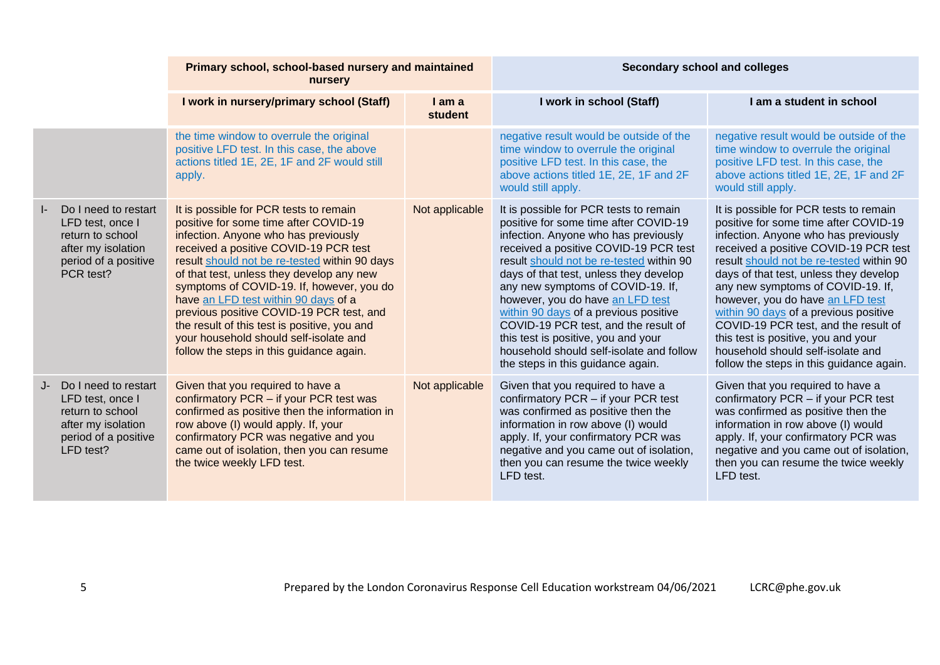|    |                                                                                                                            | Primary school, school-based nursery and maintained<br>nursery                                                                                                                                                                                                                                                                                                                                                                                                                                                                        |                   | <b>Secondary school and colleges</b>                                                                                                                                                                                                                                                                                                                                                                                                                                                                                                     |                                                                                                                                                                                                                                                                                                                                                                                                                                                                                                                                          |
|----|----------------------------------------------------------------------------------------------------------------------------|---------------------------------------------------------------------------------------------------------------------------------------------------------------------------------------------------------------------------------------------------------------------------------------------------------------------------------------------------------------------------------------------------------------------------------------------------------------------------------------------------------------------------------------|-------------------|------------------------------------------------------------------------------------------------------------------------------------------------------------------------------------------------------------------------------------------------------------------------------------------------------------------------------------------------------------------------------------------------------------------------------------------------------------------------------------------------------------------------------------------|------------------------------------------------------------------------------------------------------------------------------------------------------------------------------------------------------------------------------------------------------------------------------------------------------------------------------------------------------------------------------------------------------------------------------------------------------------------------------------------------------------------------------------------|
|    |                                                                                                                            | I work in nursery/primary school (Staff)                                                                                                                                                                                                                                                                                                                                                                                                                                                                                              | I am a<br>student | I work in school (Staff)                                                                                                                                                                                                                                                                                                                                                                                                                                                                                                                 | I am a student in school                                                                                                                                                                                                                                                                                                                                                                                                                                                                                                                 |
|    |                                                                                                                            | the time window to overrule the original<br>positive LFD test. In this case, the above<br>actions titled 1E, 2E, 1F and 2F would still<br>apply.                                                                                                                                                                                                                                                                                                                                                                                      |                   | negative result would be outside of the<br>time window to overrule the original<br>positive LFD test. In this case, the<br>above actions titled 1E, 2E, 1F and 2F<br>would still apply.                                                                                                                                                                                                                                                                                                                                                  | negative result would be outside of the<br>time window to overrule the original<br>positive LFD test. In this case, the<br>above actions titled 1E, 2E, 1F and 2F<br>would still apply.                                                                                                                                                                                                                                                                                                                                                  |
| I- | Do I need to restart<br>LFD test, once I<br>return to school<br>after my isolation<br>period of a positive<br>PCR test?    | It is possible for PCR tests to remain<br>positive for some time after COVID-19<br>infection. Anyone who has previously<br>received a positive COVID-19 PCR test<br>result should not be re-tested within 90 days<br>of that test, unless they develop any new<br>symptoms of COVID-19. If, however, you do<br>have an LFD test within 90 days of a<br>previous positive COVID-19 PCR test, and<br>the result of this test is positive, you and<br>your household should self-isolate and<br>follow the steps in this guidance again. | Not applicable    | It is possible for PCR tests to remain<br>positive for some time after COVID-19<br>infection. Anyone who has previously<br>received a positive COVID-19 PCR test<br>result should not be re-tested within 90<br>days of that test, unless they develop<br>any new symptoms of COVID-19. If,<br>however, you do have an LFD test<br>within 90 days of a previous positive<br>COVID-19 PCR test, and the result of<br>this test is positive, you and your<br>household should self-isolate and follow<br>the steps in this guidance again. | It is possible for PCR tests to remain<br>positive for some time after COVID-19<br>infection. Anyone who has previously<br>received a positive COVID-19 PCR test<br>result should not be re-tested within 90<br>days of that test, unless they develop<br>any new symptoms of COVID-19. If,<br>however, you do have an LFD test<br>within 90 days of a previous positive<br>COVID-19 PCR test, and the result of<br>this test is positive, you and your<br>household should self-isolate and<br>follow the steps in this guidance again. |
|    | J- Do I need to restart<br>LFD test, once I<br>return to school<br>after my isolation<br>period of a positive<br>LFD test? | Given that you required to have a<br>confirmatory PCR - if your PCR test was<br>confirmed as positive then the information in<br>row above (I) would apply. If, your<br>confirmatory PCR was negative and you<br>came out of isolation, then you can resume<br>the twice weekly LFD test.                                                                                                                                                                                                                                             | Not applicable    | Given that you required to have a<br>confirmatory PCR - if your PCR test<br>was confirmed as positive then the<br>information in row above (I) would<br>apply. If, your confirmatory PCR was<br>negative and you came out of isolation,<br>then you can resume the twice weekly<br>LFD test.                                                                                                                                                                                                                                             | Given that you required to have a<br>confirmatory PCR - if your PCR test<br>was confirmed as positive then the<br>information in row above (I) would<br>apply. If, your confirmatory PCR was<br>negative and you came out of isolation,<br>then you can resume the twice weekly<br>LFD test.                                                                                                                                                                                                                                             |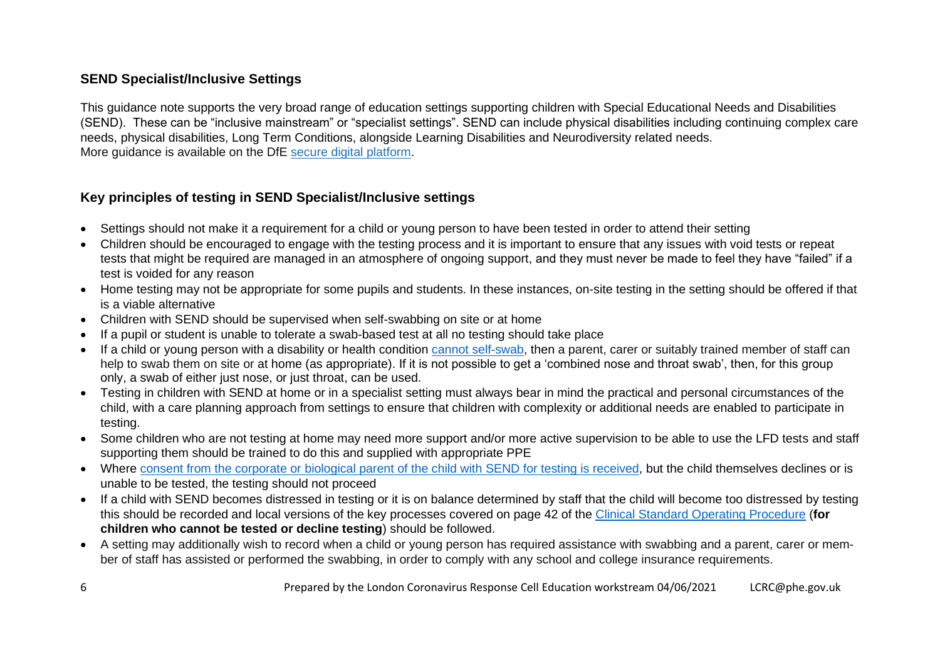# **SEND Specialist/Inclusive Settings**

This guidance note supports the very broad range of education settings supporting children with Special Educational Needs and Disabilities (SEND). These can be "inclusive mainstream" or "specialist settings". SEND can include physical disabilities including continuing complex care needs, physical disabilities, Long Term Conditions, alongside Learning Disabilities and Neurodiversity related needs. More guidance is available on the DfE secure digital [platform.](https://drive.google.com/drive/folders/1jYv0MjFyIIbzgPn_1S10OuRgfrj_b5_P)

# **Key principles of testing in SEND Specialist/Inclusive settings**

- Settings should not make it a requirement for a child or young person to have been tested in order to attend their setting
- Children should be encouraged to engage with the testing process and it is important to ensure that any issues with void tests or repeat tests that might be required are managed in an atmosphere of ongoing support, and they must never be made to feel they have "failed" if a test is voided for any reason
- Home testing may not be appropriate for some pupils and students. In these instances, on-site testing in the setting should be offered if that is a viable alternative
- Children with SEND should be supervised when self-swabbing on site or at home
- If a pupil or student is unable to tolerate a swab-based test at all no testing should take place
- If a child or young person with a disability or health condition [cannot self-swab,](https://eur01.safelinks.protection.outlook.com/?url=https%3A%2F%2Fwww.gov.uk%2Fgovernment%2Fpublications%2Fguidance-for-full-opening-special-schools-and-other-specialist-settings%2Frapid-asymptomatic-testing-in-specialist-settings&data=04%7C01%7CWazi.Khan%40phe.gov.uk%7C1389c578cdca47c39f7008d900f1db2b%7Cee4e14994a354b2ead475f3cf9de8666%7C0%7C0%7C637541861020577112%7CUnknown%7CTWFpbGZsb3d8eyJWIjoiMC4wLjAwMDAiLCJQIjoiV2luMzIiLCJBTiI6Ik1haWwiLCJXVCI6Mn0%3D%7C1000&sdata=eFO2HGBiwEEsUhiqYldR4A%2F6ElfhgkrHUSQz%2Fav%2BHnA%3D&reserved=0) then a parent, carer or suitably trained member of staff can help to swab them on site or at home (as appropriate). If it is not possible to get a 'combined nose and throat swab', then, for this group only, a swab of either just nose, or just throat, can be used.
- Testing in children with SEND at home or in a specialist setting must always bear in mind the practical and personal circumstances of the child, with a care planning approach from settings to ensure that children with complexity or additional needs are enabled to participate in testing.
- Some children who are not testing at home may need more support and/or more active supervision to be able to use the LFD tests and staff supporting them should be trained to do this and supplied with appropriate PPE
- Where [consent from the corporate or biological parent of the child with SEND for testing is received,](https://www.gov.uk/government/publications/guidance-for-full-opening-special-schools-and-other-specialist-settings/rapid-asymptomatic-testing-in-specialist-settings#consent) but the child themselves declines or is unable to be tested, the testing should not proceed
- If a child with SEND becomes distressed in testing or it is on balance determined by staff that the child will become too distressed by testing this should be recorded and local versions of the key processes covered on page 42 of the [Clinical Standard Operating Procedure](https://drive.google.com/drive/folders/1jYv0MjFyIIbzgPn_1S10OuRgfrj_b5_P) (**for children who cannot be tested or decline testing**) should be followed.
- A setting may additionally wish to record when a child or young person has required assistance with swabbing and a parent, carer or member of staff has assisted or performed the swabbing, in order to comply with any school and college insurance requirements.